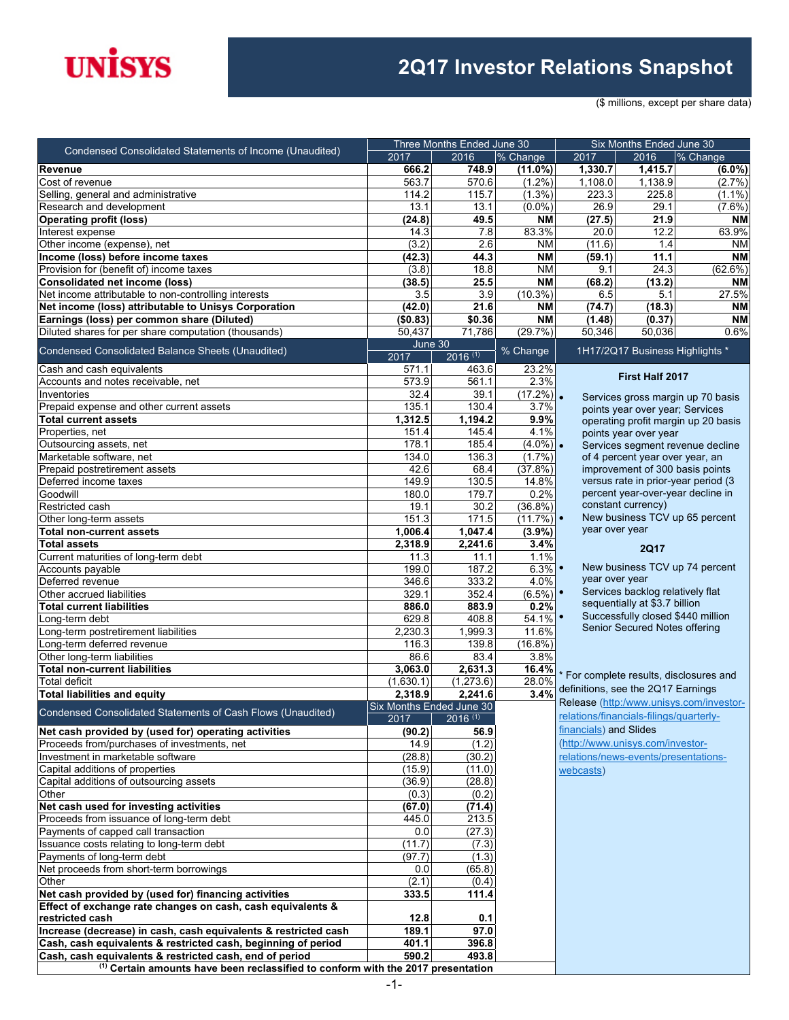# **UNISYS**

### **2Q17 Investor Relations Snapshot**

(\$ millions, except per share data)

| Condensed Consolidated Statements of Income (Unaudited)                                                             |                 | Three Months Ended June 30 |                     |                        | Six Months Ended June 30                |                                         |
|---------------------------------------------------------------------------------------------------------------------|-----------------|----------------------------|---------------------|------------------------|-----------------------------------------|-----------------------------------------|
|                                                                                                                     | 2017            | 2016                       | % Change            | 2017                   | 2016                                    | % Change                                |
| Revenue                                                                                                             | 666.2           | 748.9                      | $(11.0\%)$          | 1,330.7                | 1,415.7                                 | $(6.0\%)$                               |
| Cost of revenue                                                                                                     | 563.7           | 570.6                      | $(1.2\%)$           | 1,108.0                | 1,138.9                                 | (2.7%                                   |
| Selling, general and administrative                                                                                 | 114.2           | 115.7                      | $(1.3\%)$           | 223.3                  | 225.8                                   | $(1.1\%)$                               |
| Research and development                                                                                            | 13.1            | 13.1                       | $(0.0\%)$           | 26.9                   | 29.1                                    | $(7.6\%)$                               |
| <b>Operating profit (loss)</b>                                                                                      | (24.8)          | 49.5                       | <b>NM</b>           | (27.5)                 | 21.9                                    | ΝM                                      |
| Interest expense                                                                                                    | 14.3            | 7.8                        | 83.3%               | 20.0                   | 12.2                                    | 63.9%                                   |
| Other income (expense), net                                                                                         | (3.2)           | 2.6                        | <b>NM</b>           | (11.6)                 | 1.4                                     | <b>NM</b>                               |
| Income (loss) before income taxes                                                                                   | (42.3)          | 44.3                       | <b>NM</b>           | (59.1)                 | 11.1                                    | ΝM                                      |
| Provision for (benefit of) income taxes                                                                             | (3.8)           | 18.8                       | <b>NM</b>           | 9.1                    | $\overline{24.3}$                       | (62.6%)                                 |
| Consolidated net income (loss)                                                                                      | (38.5)          | 25.5                       | <b>NM</b>           | (68.2)                 | (13.2)                                  | <b>NM</b>                               |
| Net income attributable to non-controlling interests                                                                | 3.5             | 3.9                        | $(10.3\%)$          | 6.5                    | 5.1                                     | 27.5%                                   |
| Net income (loss) attributable to Unisys Corporation                                                                | (42.0)          | 21.6                       | <b>NM</b>           | (74.7)                 | (18.3)                                  | <b>NM</b>                               |
| Earnings (loss) per common share (Diluted)                                                                          | (\$0.83)        | \$0.36                     | <b>NM</b>           | (1.48)                 | (0.37)                                  | <b>NM</b>                               |
| Diluted shares for per share computation (thousands)                                                                | 50,437          | 71,786                     | (29.7%)             | 50,346                 | 50,036                                  | 0.6%                                    |
| Condensed Consolidated Balance Sheets (Unaudited)                                                                   | June 30<br>2017 | $2016^{(1)}$               | % Change            |                        | 1H17/2Q17 Business Highlights *         |                                         |
| Cash and cash equivalents                                                                                           | 571.1           | 463.6                      | 23.2%               |                        |                                         |                                         |
| Accounts and notes receivable, net                                                                                  | 573.9           | 561.1                      | 2.3%                |                        | <b>First Half 2017</b>                  |                                         |
| Inventories                                                                                                         | 32.4            | 39.1                       | $(17.2%)$ .         |                        |                                         | Services gross margin up 70 basis       |
| Prepaid expense and other current assets                                                                            | 135.1           | 130.4                      | 3.7%                |                        | points year over year; Services         |                                         |
| <b>Total current assets</b>                                                                                         | 1,312.5         | 1,194.2                    | 9.9%                |                        |                                         | operating profit margin up 20 basis     |
| Properties, net                                                                                                     | 151.4           | 145.4                      | 4.1%                |                        | points year over year                   |                                         |
| Outsourcing assets, net                                                                                             | 178.1           | 185.4                      | $(4.0\%)$ .         |                        |                                         | Services segment revenue decline        |
| Marketable software, net                                                                                            | 134.0           | 136.3                      | $(1.7\%)$           |                        | of 4 percent year over year, an         |                                         |
| Prepaid postretirement assets                                                                                       | 42.6            | 68.4                       | (37.8%)             |                        | improvement of 300 basis points         |                                         |
| Deferred income taxes                                                                                               | 149.9           | 130.5                      | 14.8%               |                        | versus rate in prior-year period (3     |                                         |
| Goodwill                                                                                                            | 180.0           | 179.7                      | 0.2%                |                        | percent year-over-year decline in       |                                         |
| Restricted cash                                                                                                     | 19.1            | 30.2                       | $(36.8\%)$          |                        | constant currency)                      |                                         |
| Other long-term assets                                                                                              | 151.3           | 171.5                      | (11.7%)             |                        | New business TCV up 65 percent          |                                         |
| <b>Total non-current assets</b>                                                                                     | 1,006.4         | 1,047.4                    | (3.9%)              | year over year         |                                         |                                         |
| <b>Total assets</b>                                                                                                 | 2,318.9         | 2,241.6                    | 3.4%                |                        | <b>2Q17</b>                             |                                         |
| Current maturities of long-term debt                                                                                | 11.3            | 11.1                       | 1.1%                |                        |                                         |                                         |
| Accounts payable                                                                                                    | 199.0           | 187.2                      | 6.3%                |                        | New business TCV up 74 percent          |                                         |
| Deferred revenue                                                                                                    | 346.6           | 333.2                      | 4.0%                | year over year         |                                         |                                         |
| Other accrued liabilities                                                                                           | 329.1           | 352.4                      | $(6.5\%)$ •         |                        | Services backlog relatively flat        |                                         |
| <b>Total current liabilities</b>                                                                                    | 886.0           | 883.9                      | 0.2%                |                        | sequentially at \$3.7 billion           |                                         |
| Long-term debt                                                                                                      | 629.8           | 408.8                      | $54.\overline{1\%}$ |                        | Successfully closed \$440 million       |                                         |
| Long-term postretirement liabilities                                                                                | 2,230.3         | 1,999.3                    | 11.6%               |                        | Senior Secured Notes offering           |                                         |
| Long-term deferred revenue                                                                                          | 116.3           | 139.8                      | $(16.8\%)$          |                        |                                         |                                         |
| Other long-term liabilities                                                                                         | 86.6            | 83.4                       | 3.8%                |                        |                                         |                                         |
| <b>Total non-current liabilities</b>                                                                                | 3,063.0         | 2.631.3                    | 16.4%               |                        | For complete results, disclosures and   |                                         |
| <b>Total deficit</b>                                                                                                | (1,630.1)       | (1, 273.6)                 | 28.0%               |                        | definitions, see the 2Q17 Earnings      |                                         |
| <b>Total liabilities and equity</b>                                                                                 | 2,318.9         | 2,241.6                    | 3.4%                |                        |                                         | Release (http:/www.unisys.com/investor- |
| Condensed Consolidated Statements of Cash Flows (Unaudited)                                                         |                 | Six Months Ended June 30   |                     |                        |                                         |                                         |
|                                                                                                                     | 2017            | $2016$ (1)                 |                     |                        | relations/financials-filings/quarterly- |                                         |
| Net cash provided by (used for) operating activities                                                                | (90.2)          | 56.9                       |                     | financials) and Slides |                                         |                                         |
| Proceeds from/purchases of investments, net                                                                         | 14.9            | (1.2)                      |                     |                        | (http://www.unisys.com/investor-        |                                         |
| Investment in marketable software                                                                                   | (28.8)          | (30.2)                     |                     |                        | relations/news-events/presentations-    |                                         |
| Capital additions of properties                                                                                     | (15.9)          | (11.0)                     |                     | webcasts)              |                                         |                                         |
| Capital additions of outsourcing assets                                                                             | (36.9)          | (28.8)                     |                     |                        |                                         |                                         |
| Other                                                                                                               | (0.3)           | (0.2)                      |                     |                        |                                         |                                         |
| Net cash used for investing activities                                                                              | (67.0)          | (71.4)                     |                     |                        |                                         |                                         |
| Proceeds from issuance of long-term debt                                                                            | 445.0           | 213.5                      |                     |                        |                                         |                                         |
| Payments of capped call transaction                                                                                 | 0.0             | (27.3)                     |                     |                        |                                         |                                         |
| Issuance costs relating to long-term debt                                                                           | (11.7)          | (7.3)                      |                     |                        |                                         |                                         |
| Payments of long-term debt                                                                                          | (97.7)          | (1.3)                      |                     |                        |                                         |                                         |
| Net proceeds from short-term borrowings<br>Other                                                                    | 0.0             | (65.8)                     |                     |                        |                                         |                                         |
|                                                                                                                     | (2.1)           | (0.4)                      |                     |                        |                                         |                                         |
| Net cash provided by (used for) financing activities<br>Effect of exchange rate changes on cash, cash equivalents & | 333.5           | 111.4                      |                     |                        |                                         |                                         |
| restricted cash                                                                                                     | 12.8            | 0.1                        |                     |                        |                                         |                                         |
| Increase (decrease) in cash, cash equivalents & restricted cash                                                     | 189.1           | 97.0                       |                     |                        |                                         |                                         |
| Cash, cash equivalents & restricted cash, beginning of period                                                       | 401.1           | 396.8                      |                     |                        |                                         |                                         |
| Cash, cash equivalents & restricted cash, end of period                                                             | 590.2           | 493.8                      |                     |                        |                                         |                                         |
| <sup>(1)</sup> Certain amounts have been reclassified to conform with the 2017 presentation                         |                 |                            |                     |                        |                                         |                                         |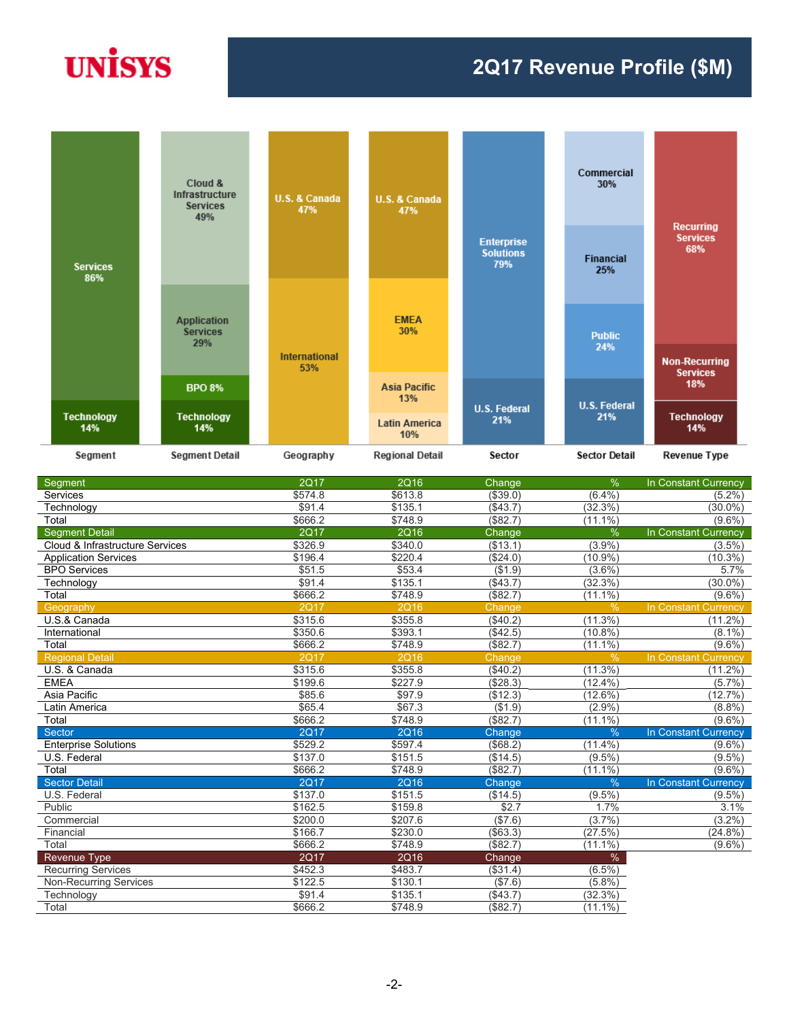# **UNISYS**

### **2Q17 Revenue Profile (\$M)**



| Segment                         | <b>2Q17</b> | <b>2Q16</b> | Change        | $\%$          | In Constant Currency |
|---------------------------------|-------------|-------------|---------------|---------------|----------------------|
| Services                        | \$574.8     | \$613.8     | (\$39.0)      | $(6.4\%)$     | $(5.2\%)$            |
| Technology                      | \$91.4      | \$135.1     | (\$43.7)      | (32.3%)       | $(30.0\%)$           |
| Total                           | \$666.2     | \$748.9     | (\$82.7)      | $(11.1\%)$    | $(9.6\%)$            |
| <b>Segment Detail</b>           | 2Q17        | <b>2Q16</b> | Change        | %             | In Constant Currency |
| Cloud & Infrastructure Services | \$326.9     | \$340.0     | (\$13.1)      | (3.9%)        | $(3.5\%)$            |
| <b>Application Services</b>     | \$196.4     | \$220.4     | (\$24.0)      | $(10.9\%)$    | $(10.3\%)$           |
| <b>BPO</b> Services             | \$51.5      | \$53.4      | (\$1.9)       | $(3.6\%)$     | 5.7%                 |
| Technology                      | \$91.4      | \$135.1     | (\$43.7)      | (32.3%)       | $(30.0\%)$           |
| Total                           | \$666.2     | \$748.9     | (\$82.7)      | $(11.1\%)$    | $(9.6\%)$            |
| Geography                       | <b>2Q17</b> | <b>2Q16</b> | <b>Change</b> | $\frac{0}{0}$ | In Constant Currency |
| U.S.& Canada                    | \$315.6     | \$355.8     | (\$40.2)      | (11.3%)       | $(11.2\%)$           |
| International                   | \$350.6     | \$393.1     | (\$42.5)      | $(10.8\%)$    | $(8.1\%)$            |
| Total                           | \$666.2     | \$748.9     | (\$82.7)      | $(11.1\%)$    | $(9.6\%)$            |
| <b>Regional Detail</b>          | <b>2Q17</b> | <b>2Q16</b> | Change        | $\frac{0}{0}$ | In Constant Currency |
| U.S. & Canada                   | \$315.6     | \$355.8     | (\$40.2)      | (11.3%)       | $(11.2\%)$           |
| <b>EMEA</b>                     | \$199.6     | \$227.9     | ( \$28.3)     | $(12.4\%)$    | (5.7%                |
| Asia Pacific                    | \$85.6      | \$97.9      | (\$12.3)      | $(12.6\%)$    | (12.7%)              |
| Latin America                   | \$65.4      | \$67.3      | (\$1.9)       | (2.9%         | (8.8%)               |
| Total                           | \$666.2     | \$748.9     | (\$82.7)      | $(11.1\%)$    | $(9.6\%)$            |
| Sector                          | <b>2Q17</b> | <b>2Q16</b> | Change        | $\frac{0}{6}$ | In Constant Currency |
| <b>Enterprise Solutions</b>     | \$529.2     | \$597.4     | (\$68.2)      | $(11.4\%)$    | $(9.6\%)$            |
| U.S. Federal                    | \$137.0     | \$151.5     | (\$14.5)      | $(9.5\%)$     | $(9.5\%)$            |
| Total                           | \$666.2     | \$748.9     | (\$82.7)      | $(11.1\%)$    | $(9.6\%)$            |
| <b>Sector Detail</b>            | <b>2Q17</b> | <b>2Q16</b> | <b>Change</b> | $\frac{0}{0}$ | In Constant Currency |
| U.S. Federal                    | \$137.0     | \$151.5     | (\$14.5)      | $(9.5\%)$     | $(9.5\%)$            |
| Public                          | \$162.5     | \$159.8     | \$2.7         | 1.7%          | 3.1%                 |
| Commercial                      | \$200.0     | \$207.6     | (\$7.6)       | (3.7%)        | $(3.2\%)$            |
| Financial                       | \$166.7     | \$230.0     | (\$63.3)      | (27.5%)       | $(24.8\%)$           |
| Total                           | \$666.2     | \$748.9     | (\$82.7)      | $(11.1\%)$    | $(9.6\%)$            |
| Revenue Type                    | <b>2Q17</b> | <b>2Q16</b> | Change        | $\%$          |                      |
| <b>Recurring Services</b>       | \$452.3     | \$483.7     | (\$31.4)      | $(6.5\%)$     |                      |
| <b>Non-Recurring Services</b>   | \$122.5     | \$130.1     | (\$7.6)       | (5.8%)        |                      |
| Technology                      | \$91.4      | \$135.1     | (\$43.7)      | (32.3%)       |                      |
| Total                           | \$666.2     | \$748.9     | (\$82.7)      | $(11.1\%)$    |                      |